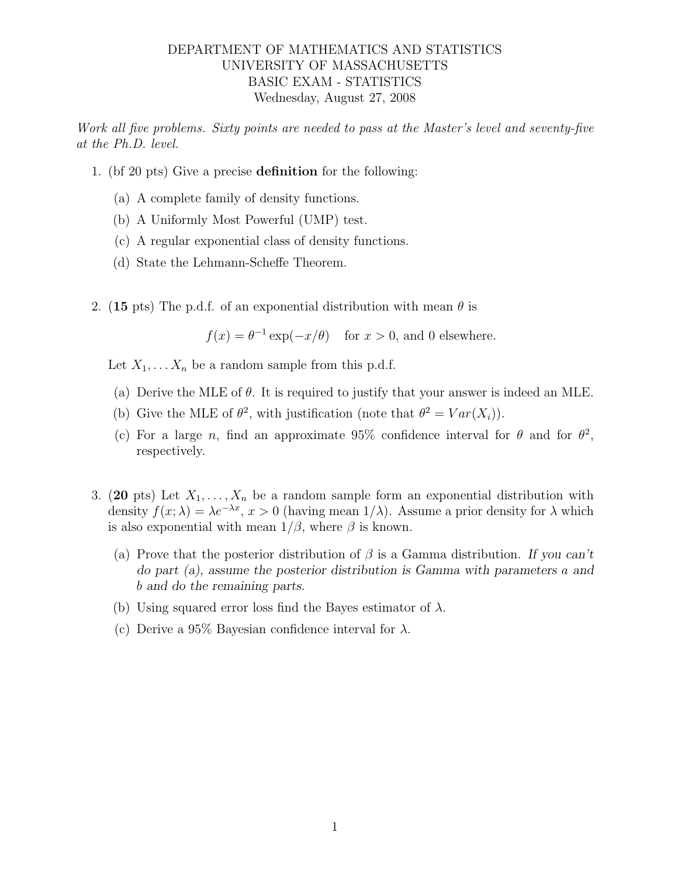## DEPARTMENT OF MATHEMATICS AND STATISTICS UNIVERSITY OF MASSACHUSETTS BASIC EXAM - STATISTICS Wednesday, August 27, 2008

Work all five problems. Sixty points are needed to pass at the Master's level and seventy-five at the Ph.D. level.

- 1. (bf 20 pts) Give a precise definition for the following:
	- (a) A complete family of density functions.
	- (b) A Uniformly Most Powerful (UMP) test.
	- (c) A regular exponential class of density functions.
	- (d) State the Lehmann-Scheffe Theorem.
- 2. (15 pts) The p.d.f. of an exponential distribution with mean  $\theta$  is

 $f(x) = \theta^{-1} \exp(-x/\theta)$  for  $x > 0$ , and 0 elsewhere.

Let  $X_1, \ldots X_n$  be a random sample from this p.d.f.

- (a) Derive the MLE of  $\theta$ . It is required to justify that your answer is indeed an MLE.
- (b) Give the MLE of  $\theta^2$ , with justification (note that  $\theta^2 = Var(X_i)$ ).
- (c) For a large n, find an approximate 95% confidence interval for  $\theta$  and for  $\theta^2$ , respectively.
- 3. (20 pts) Let  $X_1, \ldots, X_n$  be a random sample form an exponential distribution with density  $f(x; \lambda) = \lambda e^{-\lambda x}, x > 0$  (having mean  $1/\lambda$ ). Assume a prior density for  $\lambda$  which is also exponential with mean  $1/\beta$ , where  $\beta$  is known.
	- (a) Prove that the posterior distribution of  $\beta$  is a Gamma distribution. If you can't do part (a), assume the posterior distribution is Gamma with parameters a and b and do the remaining parts.
	- (b) Using squared error loss find the Bayes estimator of  $\lambda$ .
	- (c) Derive a 95% Bayesian confidence interval for  $\lambda$ .